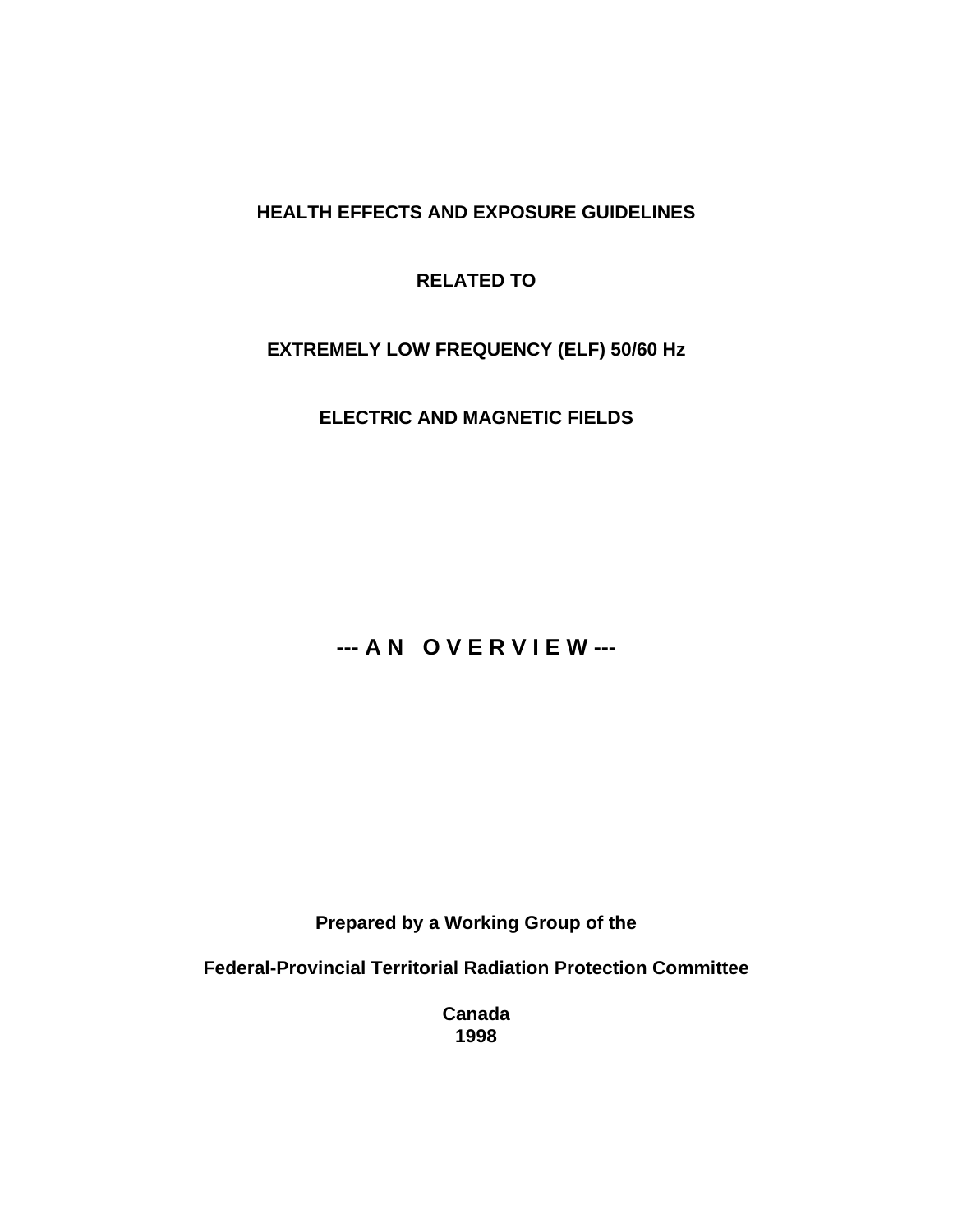# **HEALTH EFFECTS AND EXPOSURE GUIDELINES**

# **RELATED TO**

# **EXTREMELY LOW FREQUENCY (ELF) 50/60 Hz**

**ELECTRIC AND MAGNETIC FIELDS**

# **--- A N O V E R V I E W ---**

**Prepared by a Working Group of the**

**Federal-Provincial Territorial Radiation Protection Committee**

**Canada 1998**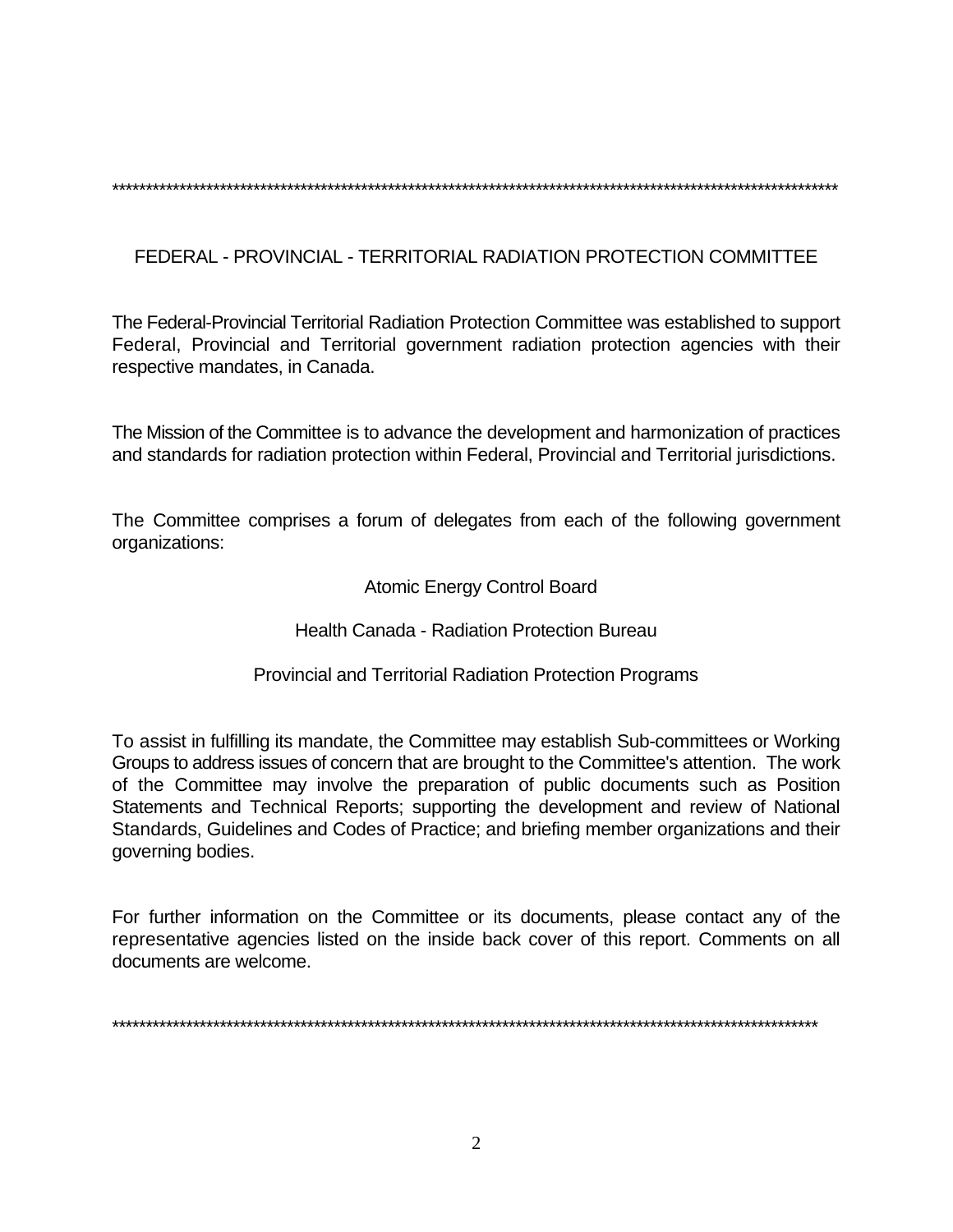\*\*\*\*\*\*\*\*\*\*\*\*\*\*\*\*\*\*\*\*\*\*\*\*\*\*\*\*\*\*\*\*\*\*\*\*\*\*\*\*\*\*\*\*\*\*\*\*\*\*\*\*\*\*\*\*\*\*\*\*\*\*\*\*\*\*\*\*\*\*\*\*\*\*\*\*\*\*\*\*\*\*\*\*\*\*\*\*\*\*\*\*\*\*\*\*\*\*\*\*\*\*\*\*\*\*\*\*

FEDERAL - PROVINCIAL - TERRITORIAL RADIATION PROTECTION COMMITTEE

The Federal-Provincial Territorial Radiation Protection Committee was established to support Federal, Provincial and Territorial government radiation protection agencies with their respective mandates, in Canada.

The Mission of the Committee is to advance the development and harmonization of practices and standards for radiation protection within Federal, Provincial and Territorial jurisdictions.

The Committee comprises a forum of delegates from each of the following government organizations:

Atomic Energy Control Board

Health Canada - Radiation Protection Bureau

Provincial and Territorial Radiation Protection Programs

To assist in fulfilling its mandate, the Committee may establish Sub-committees or Working Groups to address issues of concern that are brought to the Committee's attention. The work of the Committee may involve the preparation of public documents such as Position Statements and Technical Reports; supporting the development and review of National Standards, Guidelines and Codes of Practice; and briefing member organizations and their governing bodies.

For further information on the Committee or its documents, please contact any of the representative agencies listed on the inside back cover of this report. Comments on all documents are welcome.

\*\*\*\*\*\*\*\*\*\*\*\*\*\*\*\*\*\*\*\*\*\*\*\*\*\*\*\*\*\*\*\*\*\*\*\*\*\*\*\*\*\*\*\*\*\*\*\*\*\*\*\*\*\*\*\*\*\*\*\*\*\*\*\*\*\*\*\*\*\*\*\*\*\*\*\*\*\*\*\*\*\*\*\*\*\*\*\*\*\*\*\*\*\*\*\*\*\*\*\*\*\*\*\*\*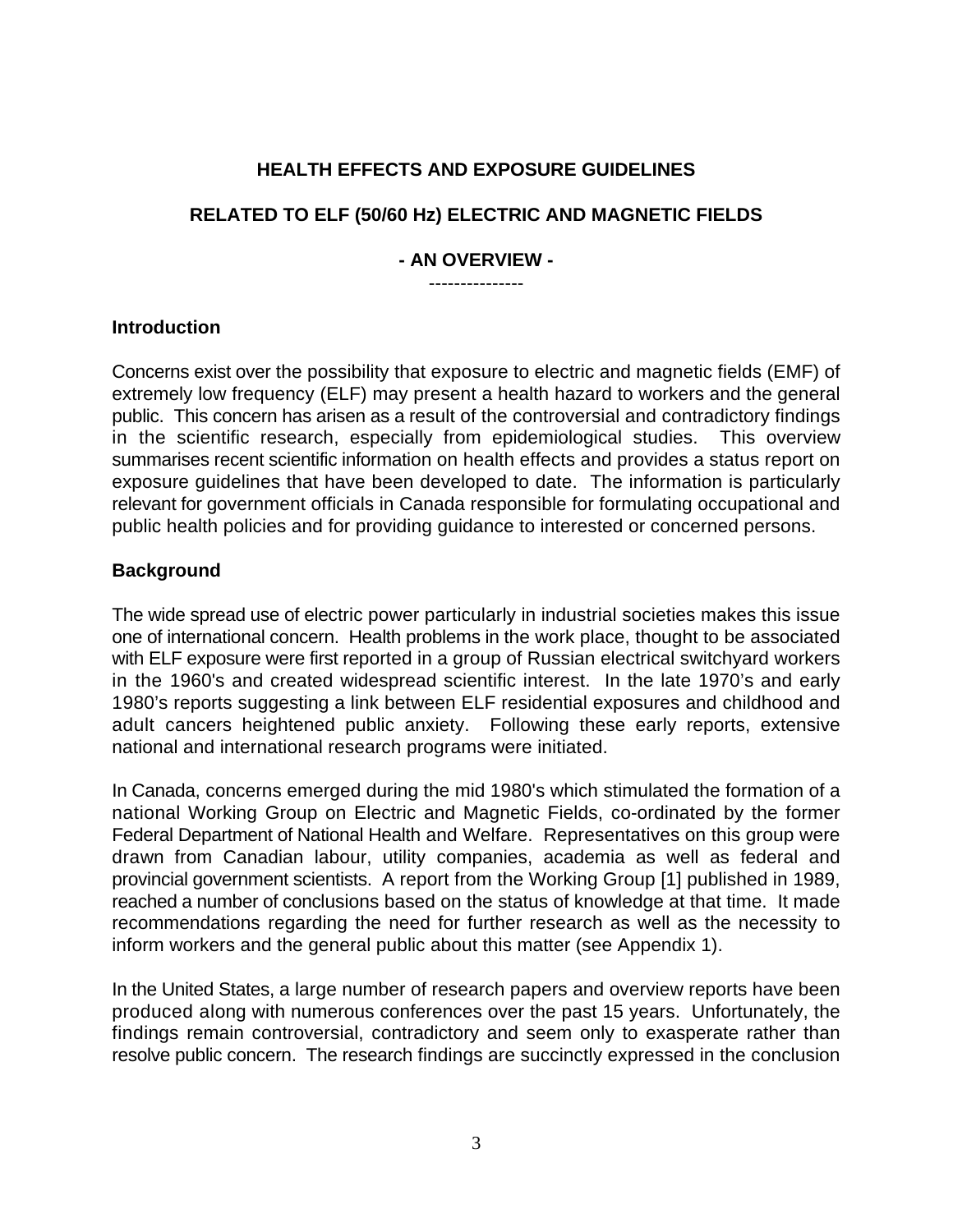# **HEALTH EFFECTS AND EXPOSURE GUIDELINES**

# **RELATED TO ELF (50/60 Hz) ELECTRIC AND MAGNETIC FIELDS**

#### **- AN OVERVIEW -** ---------------

# **Introduction**

Concerns exist over the possibility that exposure to electric and magnetic fields (EMF) of extremely low frequency (ELF) may present a health hazard to workers and the general public. This concern has arisen as a result of the controversial and contradictory findings in the scientific research, especially from epidemiological studies. This overview summarises recent scientific information on health effects and provides a status report on exposure guidelines that have been developed to date. The information is particularly relevant for government officials in Canada responsible for formulating occupational and public health policies and for providing guidance to interested or concerned persons.

# **Background**

The wide spread use of electric power particularly in industrial societies makes this issue one of international concern. Health problems in the work place, thought to be associated with ELF exposure were first reported in a group of Russian electrical switchyard workers in the 1960's and created widespread scientific interest. In the late 1970's and early 1980's reports suggesting a link between ELF residential exposures and childhood and adult cancers heightened public anxiety. Following these early reports, extensive national and international research programs were initiated.

In Canada, concerns emerged during the mid 1980's which stimulated the formation of a national Working Group on Electric and Magnetic Fields, co-ordinated by the former Federal Department of National Health and Welfare. Representatives on this group were drawn from Canadian labour, utility companies, academia as well as federal and provincial government scientists. A report from the Working Group [1] published in 1989, reached a number of conclusions based on the status of knowledge at that time. It made recommendations regarding the need for further research as well as the necessity to inform workers and the general public about this matter (see Appendix 1).

In the United States, a large number of research papers and overview reports have been produced along with numerous conferences over the past 15 years. Unfortunately, the findings remain controversial, contradictory and seem only to exasperate rather than resolve public concern. The research findings are succinctly expressed in the conclusion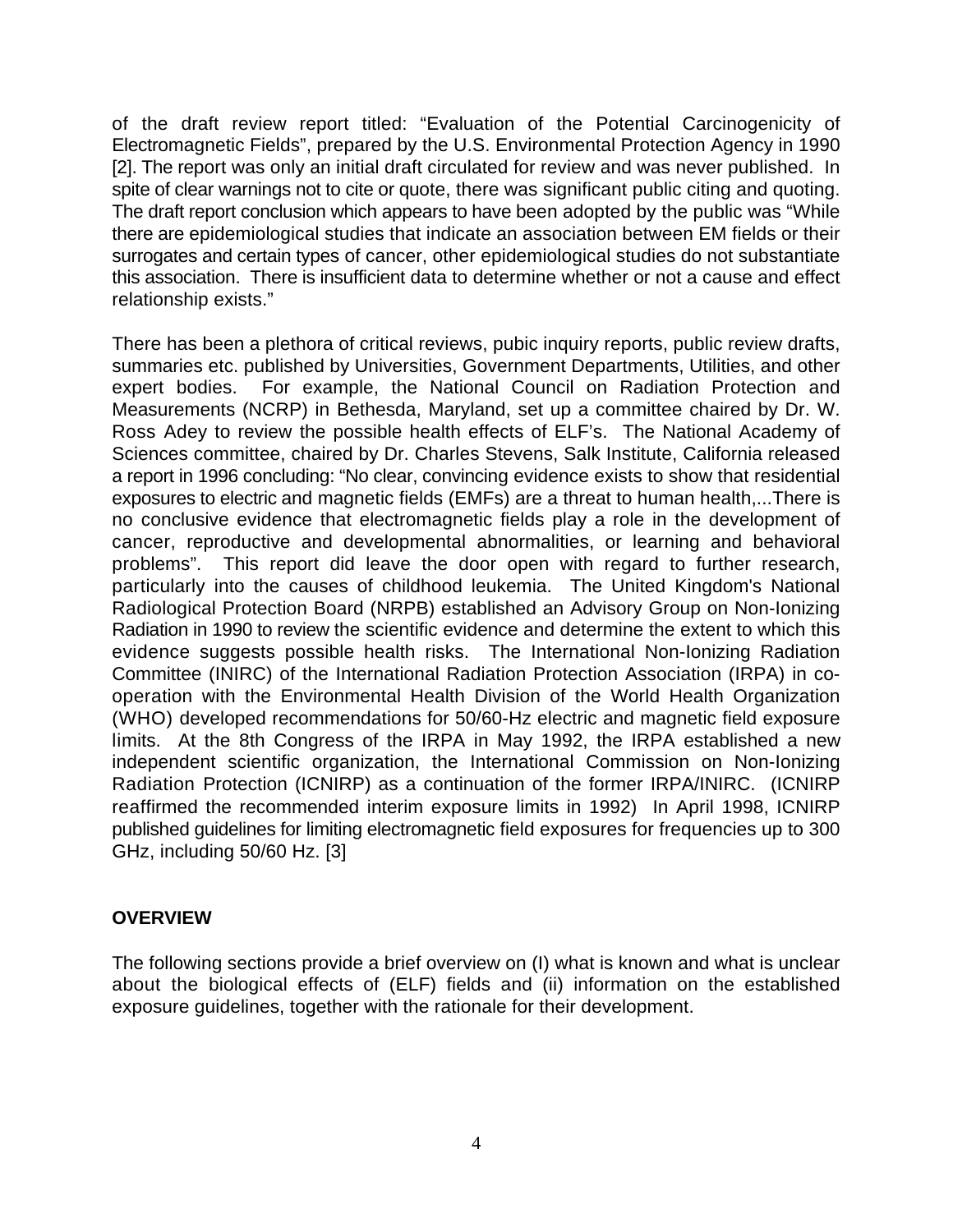of the draft review report titled: "Evaluation of the Potential Carcinogenicity of Electromagnetic Fields", prepared by the U.S. Environmental Protection Agency in 1990 [2]. The report was only an initial draft circulated for review and was never published. In spite of clear warnings not to cite or quote, there was significant public citing and quoting. The draft report conclusion which appears to have been adopted by the public was "While there are epidemiological studies that indicate an association between EM fields or their surrogates and certain types of cancer, other epidemiological studies do not substantiate this association. There is insufficient data to determine whether or not a cause and effect relationship exists."

There has been a plethora of critical reviews, pubic inquiry reports, public review drafts, summaries etc. published by Universities, Government Departments, Utilities, and other expert bodies. For example, the National Council on Radiation Protection and Measurements (NCRP) in Bethesda, Maryland, set up a committee chaired by Dr. W. Ross Adey to review the possible health effects of ELF's. The National Academy of Sciences committee, chaired by Dr. Charles Stevens, Salk Institute, California released a report in 1996 concluding: "No clear, convincing evidence exists to show that residential exposures to electric and magnetic fields (EMFs) are a threat to human health,...There is no conclusive evidence that electromagnetic fields play a role in the development of cancer, reproductive and developmental abnormalities, or learning and behavioral problems". This report did leave the door open with regard to further research, particularly into the causes of childhood leukemia. The United Kingdom's National Radiological Protection Board (NRPB) established an Advisory Group on Non-Ionizing Radiation in 1990 to review the scientific evidence and determine the extent to which this evidence suggests possible health risks. The International Non-Ionizing Radiation Committee (INIRC) of the International Radiation Protection Association (IRPA) in cooperation with the Environmental Health Division of the World Health Organization (WHO) developed recommendations for 50/60-Hz electric and magnetic field exposure limits. At the 8th Congress of the IRPA in May 1992, the IRPA established a new independent scientific organization, the International Commission on Non-Ionizing Radiation Protection (ICNIRP) as a continuation of the former IRPA/INIRC. (ICNIRP reaffirmed the recommended interim exposure limits in 1992) In April 1998, ICNIRP published guidelines for limiting electromagnetic field exposures for frequencies up to 300 GHz, including 50/60 Hz. [3]

# **OVERVIEW**

The following sections provide a brief overview on (I) what is known and what is unclear about the biological effects of (ELF) fields and (ii) information on the established exposure guidelines, together with the rationale for their development.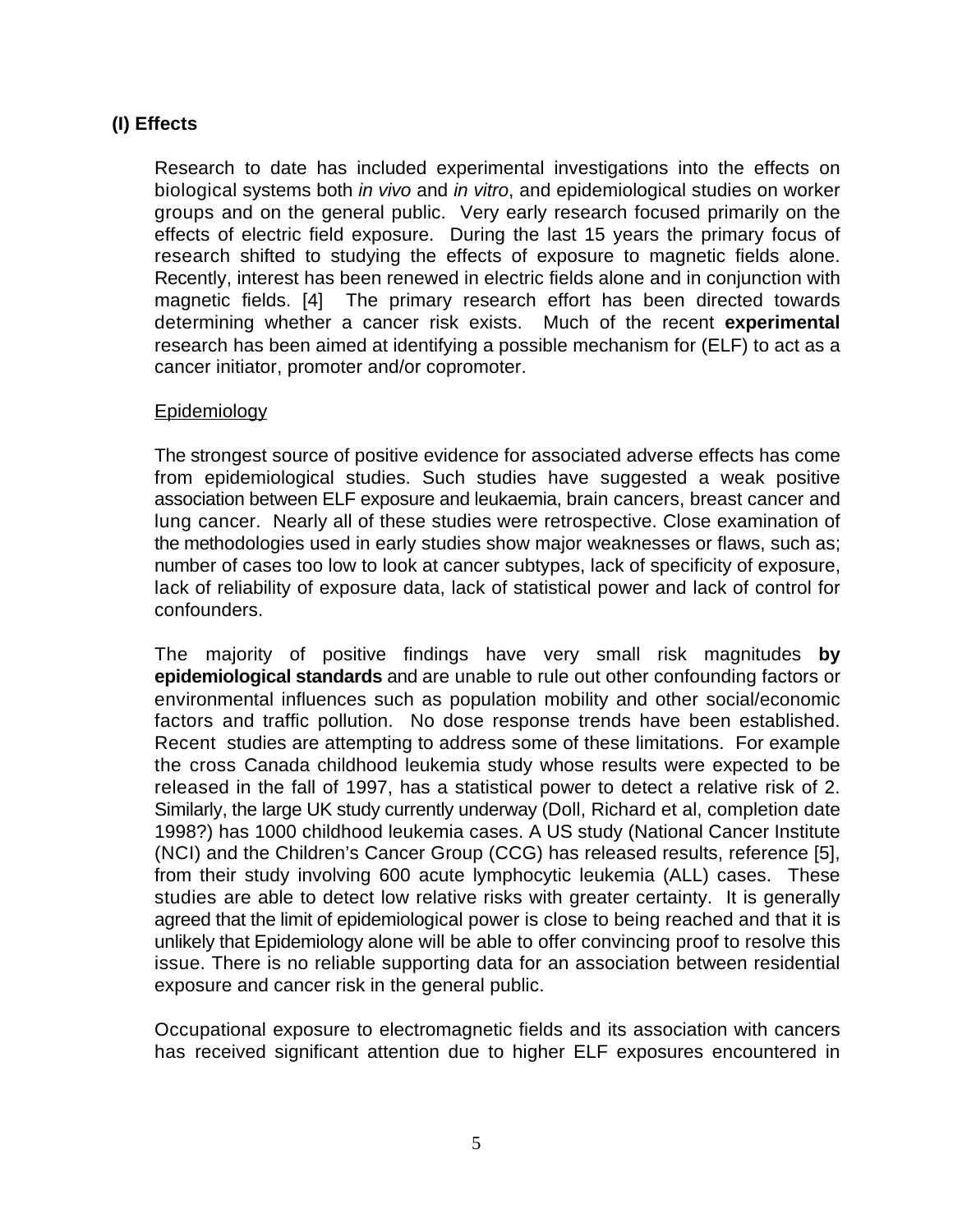# **(I) Effects**

Research to date has included experimental investigations into the effects on biological systems both *in vivo* and *in vitro*, and epidemiological studies on worker groups and on the general public. Very early research focused primarily on the effects of electric field exposure. During the last 15 years the primary focus of research shifted to studying the effects of exposure to magnetic fields alone. Recently, interest has been renewed in electric fields alone and in conjunction with magnetic fields. [4] The primary research effort has been directed towards determining whether a cancer risk exists. Much of the recent **experimental** research has been aimed at identifying a possible mechanism for (ELF) to act as a cancer initiator, promoter and/or copromoter.

# **Epidemiology**

The strongest source of positive evidence for associated adverse effects has come from epidemiological studies. Such studies have suggested a weak positive association between ELF exposure and leukaemia, brain cancers, breast cancer and lung cancer. Nearly all of these studies were retrospective. Close examination of the methodologies used in early studies show major weaknesses or flaws, such as; number of cases too low to look at cancer subtypes, lack of specificity of exposure, lack of reliability of exposure data, lack of statistical power and lack of control for confounders.

The majority of positive findings have very small risk magnitudes **by epidemiological standards** and are unable to rule out other confounding factors or environmental influences such as population mobility and other social/economic factors and traffic pollution. No dose response trends have been established. Recent studies are attempting to address some of these limitations. For example the cross Canada childhood leukemia study whose results were expected to be released in the fall of 1997, has a statistical power to detect a relative risk of 2. Similarly, the large UK study currently underway (Doll, Richard et al, completion date 1998?) has 1000 childhood leukemia cases. A US study (National Cancer Institute (NCI) and the Children's Cancer Group (CCG) has released results, reference [5], from their study involving 600 acute lymphocytic leukemia (ALL) cases. These studies are able to detect low relative risks with greater certainty. It is generally agreed that the limit of epidemiological power is close to being reached and that it is unlikely that Epidemiology alone will be able to offer convincing proof to resolve this issue. There is no reliable supporting data for an association between residential exposure and cancer risk in the general public.

Occupational exposure to electromagnetic fields and its association with cancers has received significant attention due to higher ELF exposures encountered in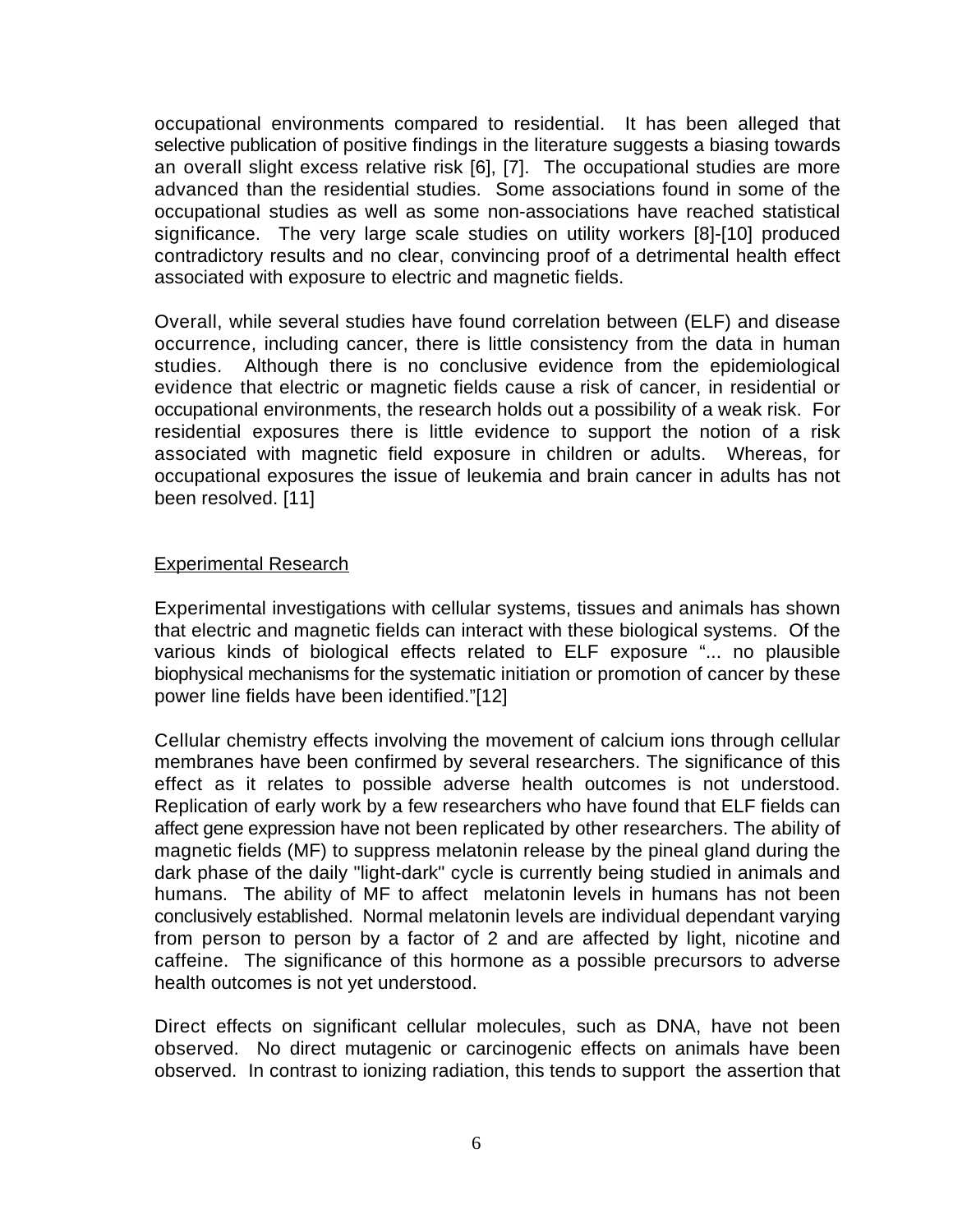occupational environments compared to residential. It has been alleged that selective publication of positive findings in the literature suggests a biasing towards an overall slight excess relative risk [6], [7]. The occupational studies are more advanced than the residential studies. Some associations found in some of the occupational studies as well as some non-associations have reached statistical significance. The very large scale studies on utility workers [8]-[10] produced contradictory results and no clear, convincing proof of a detrimental health effect associated with exposure to electric and magnetic fields.

Overall, while several studies have found correlation between (ELF) and disease occurrence, including cancer, there is little consistency from the data in human studies. Although there is no conclusive evidence from the epidemiological evidence that electric or magnetic fields cause a risk of cancer, in residential or occupational environments, the research holds out a possibility of a weak risk. For residential exposures there is little evidence to support the notion of a risk associated with magnetic field exposure in children or adults. Whereas, for occupational exposures the issue of leukemia and brain cancer in adults has not been resolved. [11]

#### Experimental Research

Experimental investigations with cellular systems, tissues and animals has shown that electric and magnetic fields can interact with these biological systems. Of the various kinds of biological effects related to ELF exposure "... no plausible biophysical mechanisms for the systematic initiation or promotion of cancer by these power line fields have been identified."[12]

Cellular chemistry effects involving the movement of calcium ions through cellular membranes have been confirmed by several researchers. The significance of this effect as it relates to possible adverse health outcomes is not understood. Replication of early work by a few researchers who have found that ELF fields can affect gene expression have not been replicated by other researchers. The ability of magnetic fields (MF) to suppress melatonin release by the pineal gland during the dark phase of the daily "light-dark" cycle is currently being studied in animals and humans. The ability of MF to affect melatonin levels in humans has not been conclusively established. Normal melatonin levels are individual dependant varying from person to person by a factor of 2 and are affected by light, nicotine and caffeine. The significance of this hormone as a possible precursors to adverse health outcomes is not yet understood.

Direct effects on significant cellular molecules, such as DNA, have not been observed. No direct mutagenic or carcinogenic effects on animals have been observed. In contrast to ionizing radiation, this tends to support the assertion that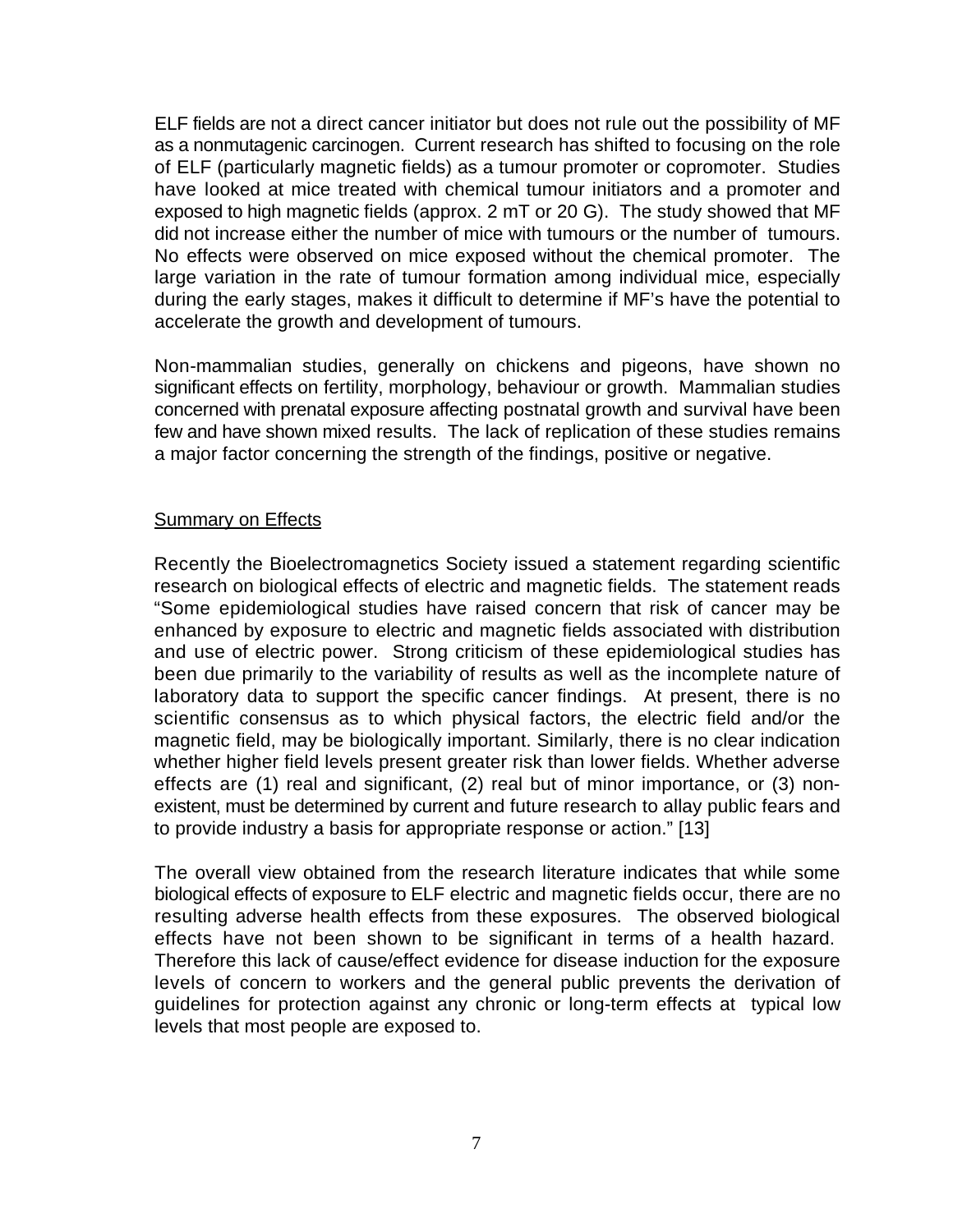ELF fields are not a direct cancer initiator but does not rule out the possibility of MF as a nonmutagenic carcinogen. Current research has shifted to focusing on the role of ELF (particularly magnetic fields) as a tumour promoter or copromoter. Studies have looked at mice treated with chemical tumour initiators and a promoter and exposed to high magnetic fields (approx. 2 mT or 20 G). The study showed that MF did not increase either the number of mice with tumours or the number of tumours. No effects were observed on mice exposed without the chemical promoter. The large variation in the rate of tumour formation among individual mice, especially during the early stages, makes it difficult to determine if MF's have the potential to accelerate the growth and development of tumours.

Non-mammalian studies, generally on chickens and pigeons, have shown no significant effects on fertility, morphology, behaviour or growth. Mammalian studies concerned with prenatal exposure affecting postnatal growth and survival have been few and have shown mixed results. The lack of replication of these studies remains a major factor concerning the strength of the findings, positive or negative.

# Summary on Effects

Recently the Bioelectromagnetics Society issued a statement regarding scientific research on biological effects of electric and magnetic fields. The statement reads "Some epidemiological studies have raised concern that risk of cancer may be enhanced by exposure to electric and magnetic fields associated with distribution and use of electric power. Strong criticism of these epidemiological studies has been due primarily to the variability of results as well as the incomplete nature of laboratory data to support the specific cancer findings. At present, there is no scientific consensus as to which physical factors, the electric field and/or the magnetic field, may be biologically important. Similarly, there is no clear indication whether higher field levels present greater risk than lower fields. Whether adverse effects are (1) real and significant, (2) real but of minor importance, or (3) nonexistent, must be determined by current and future research to allay public fears and to provide industry a basis for appropriate response or action." [13]

The overall view obtained from the research literature indicates that while some biological effects of exposure to ELF electric and magnetic fields occur, there are no resulting adverse health effects from these exposures. The observed biological effects have not been shown to be significant in terms of a health hazard. Therefore this lack of cause/effect evidence for disease induction for the exposure levels of concern to workers and the general public prevents the derivation of guidelines for protection against any chronic or long-term effects at typical low levels that most people are exposed to.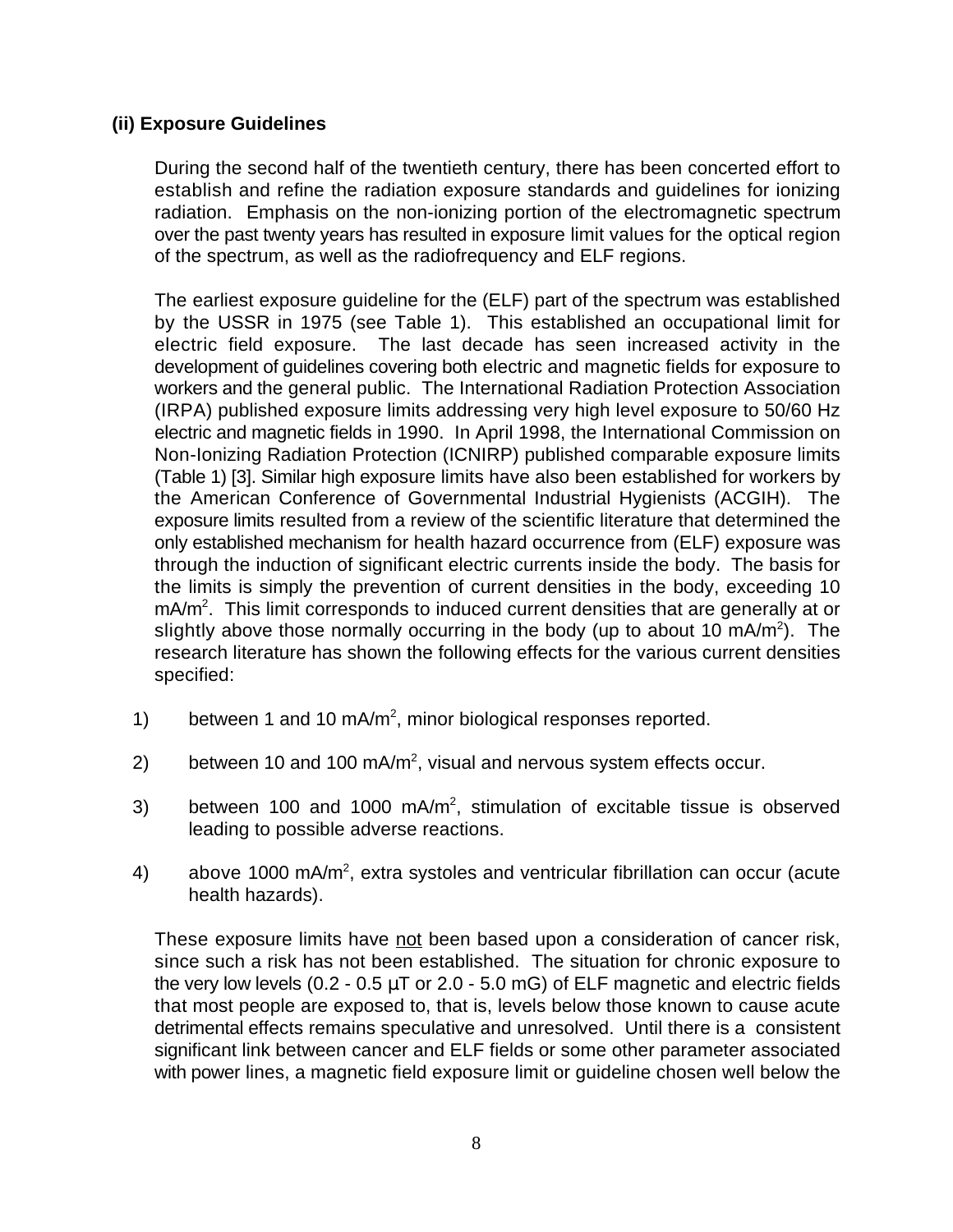# **(ii) Exposure Guidelines**

During the second half of the twentieth century, there has been concerted effort to establish and refine the radiation exposure standards and guidelines for ionizing radiation. Emphasis on the non-ionizing portion of the electromagnetic spectrum over the past twenty years has resulted in exposure limit values for the optical region of the spectrum, as well as the radiofrequency and ELF regions.

The earliest exposure guideline for the (ELF) part of the spectrum was established by the USSR in 1975 (see Table 1). This established an occupational limit for electric field exposure. The last decade has seen increased activity in the development of guidelines covering both electric and magnetic fields for exposure to workers and the general public. The International Radiation Protection Association (IRPA) published exposure limits addressing very high level exposure to 50/60 Hz electric and magnetic fields in 1990. In April 1998, the International Commission on Non-Ionizing Radiation Protection (ICNIRP) published comparable exposure limits (Table 1) [3]. Similar high exposure limits have also been established for workers by the American Conference of Governmental Industrial Hygienists (ACGIH). The exposure limits resulted from a review of the scientific literature that determined the only established mechanism for health hazard occurrence from (ELF) exposure was through the induction of significant electric currents inside the body. The basis for the limits is simply the prevention of current densities in the body, exceeding 10  $mA/m<sup>2</sup>$ . This limit corresponds to induced current densities that are generally at or slightly above those normally occurring in the body (up to about 10 mA/m<sup>2</sup>). The research literature has shown the following effects for the various current densities specified:

- 1) between 1 and 10 mA/m<sup>2</sup>, minor biological responses reported.
- 2) between 10 and 100 mA/m<sup>2</sup>, visual and nervous system effects occur.
- 3) between 100 and 1000 mA/m<sup>2</sup>, stimulation of excitable tissue is observed leading to possible adverse reactions.
- 4) above 1000 mA/m<sup>2</sup>, extra systoles and ventricular fibrillation can occur (acute health hazards).

These exposure limits have not been based upon a consideration of cancer risk, since such a risk has not been established. The situation for chronic exposure to the very low levels  $(0.2 - 0.5 \mu T)$  or 2.0 - 5.0 mG) of ELF magnetic and electric fields that most people are exposed to, that is, levels below those known to cause acute detrimental effects remains speculative and unresolved. Until there is a consistent significant link between cancer and ELF fields or some other parameter associated with power lines, a magnetic field exposure limit or guideline chosen well below the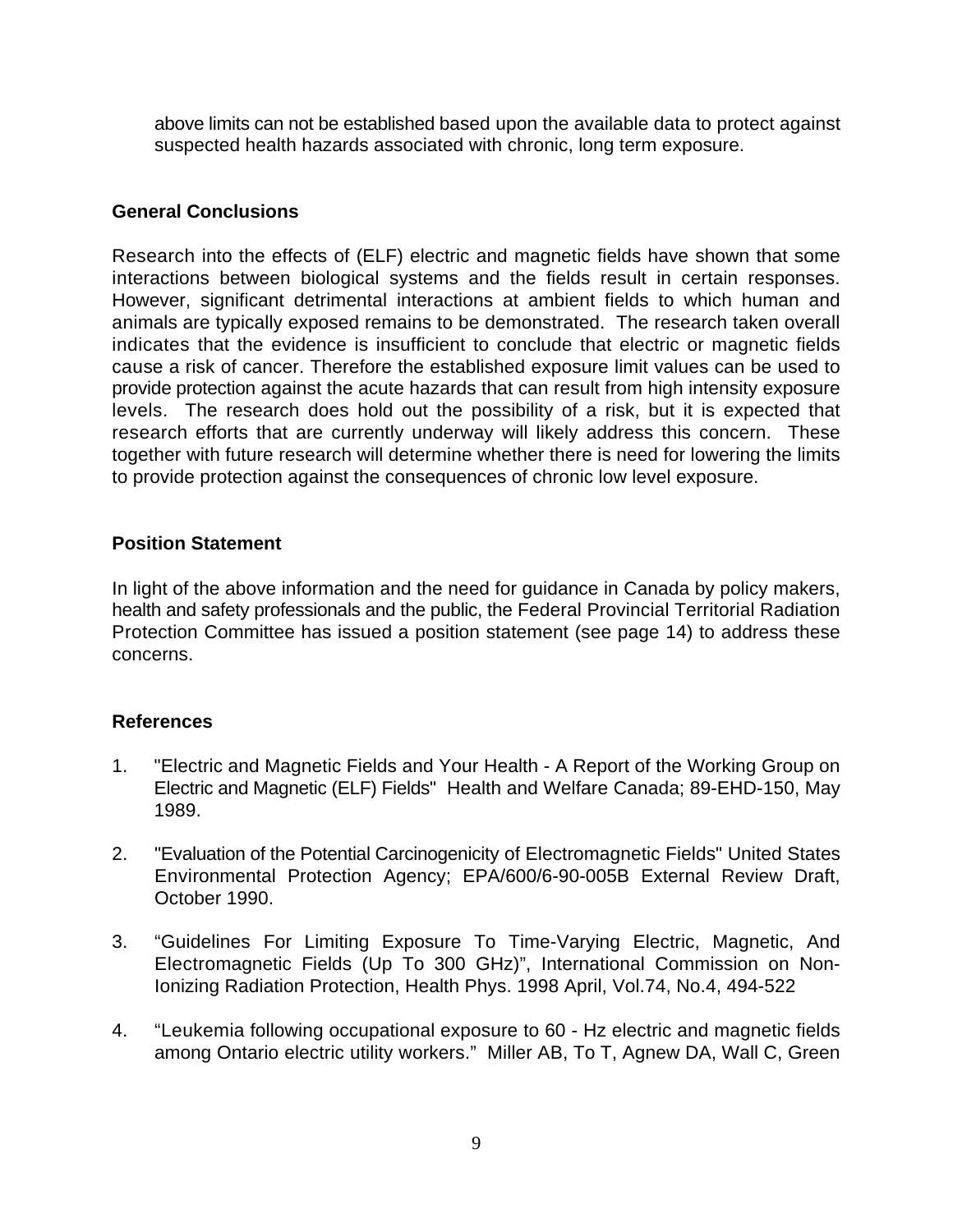above limits can not be established based upon the available data to protect against suspected health hazards associated with chronic, long term exposure.

# **General Conclusions**

Research into the effects of (ELF) electric and magnetic fields have shown that some interactions between biological systems and the fields result in certain responses. However, significant detrimental interactions at ambient fields to which human and animals are typically exposed remains to be demonstrated. The research taken overall indicates that the evidence is insufficient to conclude that electric or magnetic fields cause a risk of cancer. Therefore the established exposure limit values can be used to provide protection against the acute hazards that can result from high intensity exposure levels. The research does hold out the possibility of a risk, but it is expected that research efforts that are currently underway will likely address this concern. These together with future research will determine whether there is need for lowering the limits to provide protection against the consequences of chronic low level exposure.

# **Position Statement**

In light of the above information and the need for guidance in Canada by policy makers, health and safety professionals and the public, the Federal Provincial Territorial Radiation Protection Committee has issued a position statement (see page 14) to address these concerns.

# **References**

- 1. "Electric and Magnetic Fields and Your Health A Report of the Working Group on Electric and Magnetic (ELF) Fields" Health and Welfare Canada; 89-EHD-150, May 1989.
- 2. "Evaluation of the Potential Carcinogenicity of Electromagnetic Fields" United States Environmental Protection Agency; EPA/600/6-90-005B External Review Draft, October 1990.
- 3. "Guidelines For Limiting Exposure To Time-Varying Electric, Magnetic, And Electromagnetic Fields (Up To 300 GHz)", International Commission on Non-Ionizing Radiation Protection, Health Phys. 1998 April, Vol.74, No.4, 494-522
- 4. "Leukemia following occupational exposure to 60 Hz electric and magnetic fields among Ontario electric utility workers." Miller AB, To T, Agnew DA, Wall C, Green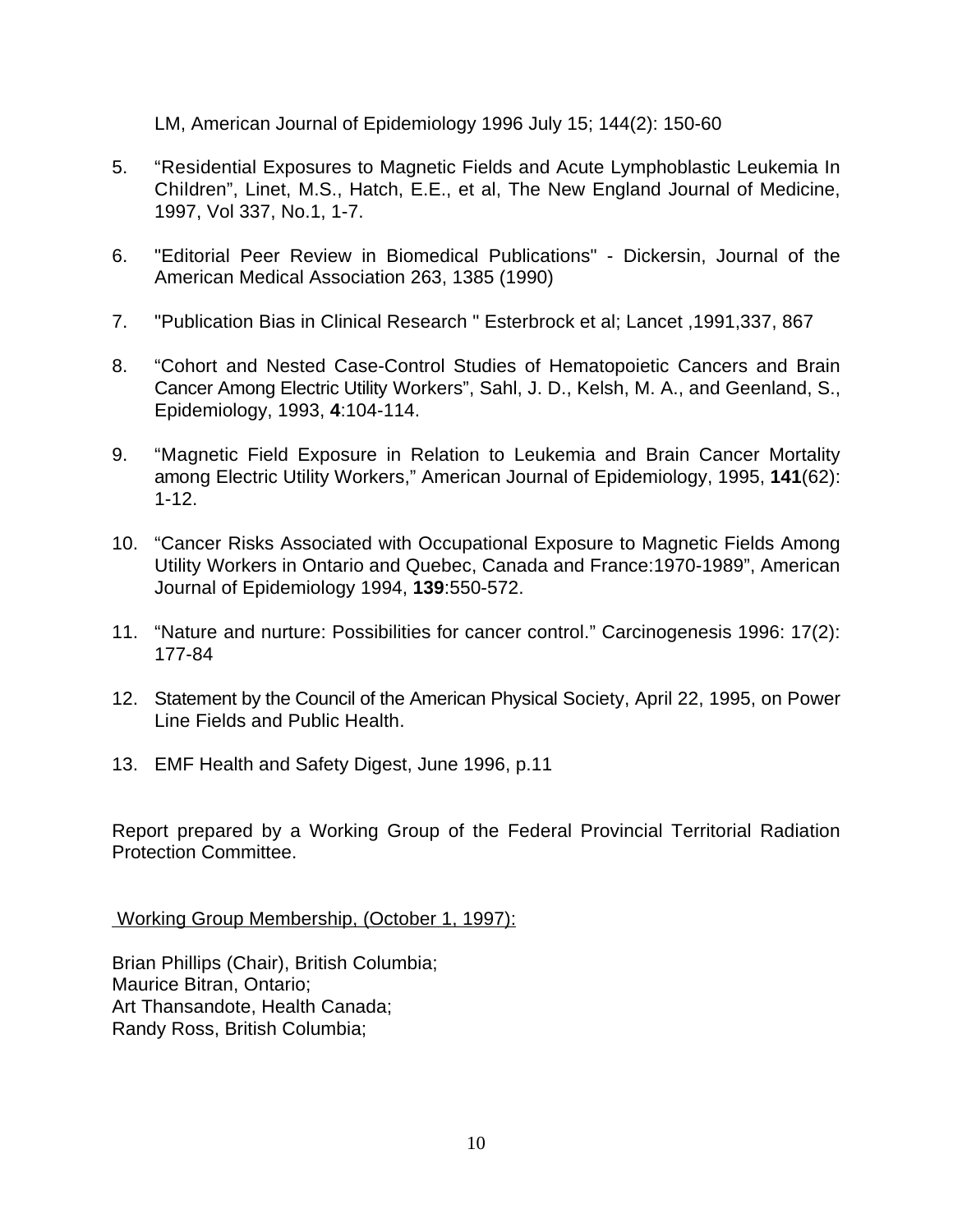LM, American Journal of Epidemiology 1996 July 15; 144(2): 150-60

- 5. "Residential Exposures to Magnetic Fields and Acute Lymphoblastic Leukemia In Children", Linet, M.S., Hatch, E.E., et al, The New England Journal of Medicine, 1997, Vol 337, No.1, 1-7.
- 6. "Editorial Peer Review in Biomedical Publications" Dickersin, Journal of the American Medical Association 263, 1385 (1990)
- 7. "Publication Bias in Clinical Research " Esterbrock et al; Lancet ,1991,337, 867
- 8. "Cohort and Nested Case-Control Studies of Hematopoietic Cancers and Brain Cancer Among Electric Utility Workers", Sahl, J. D., Kelsh, M. A., and Geenland, S., Epidemiology, 1993, **4**:104-114.
- 9. "Magnetic Field Exposure in Relation to Leukemia and Brain Cancer Mortality among Electric Utility Workers," American Journal of Epidemiology, 1995, **141**(62): 1-12.
- 10. "Cancer Risks Associated with Occupational Exposure to Magnetic Fields Among Utility Workers in Ontario and Quebec, Canada and France:1970-1989", American Journal of Epidemiology 1994, **139**:550-572.
- 11. "Nature and nurture: Possibilities for cancer control." Carcinogenesis 1996: 17(2): 177-84
- 12. Statement by the Council of the American Physical Society, April 22, 1995, on Power Line Fields and Public Health.
- 13. EMF Health and Safety Digest, June 1996, p.11

Report prepared by a Working Group of the Federal Provincial Territorial Radiation Protection Committee.

Working Group Membership, (October 1, 1997):

Brian Phillips (Chair), British Columbia; Maurice Bitran, Ontario; Art Thansandote, Health Canada; Randy Ross, British Columbia;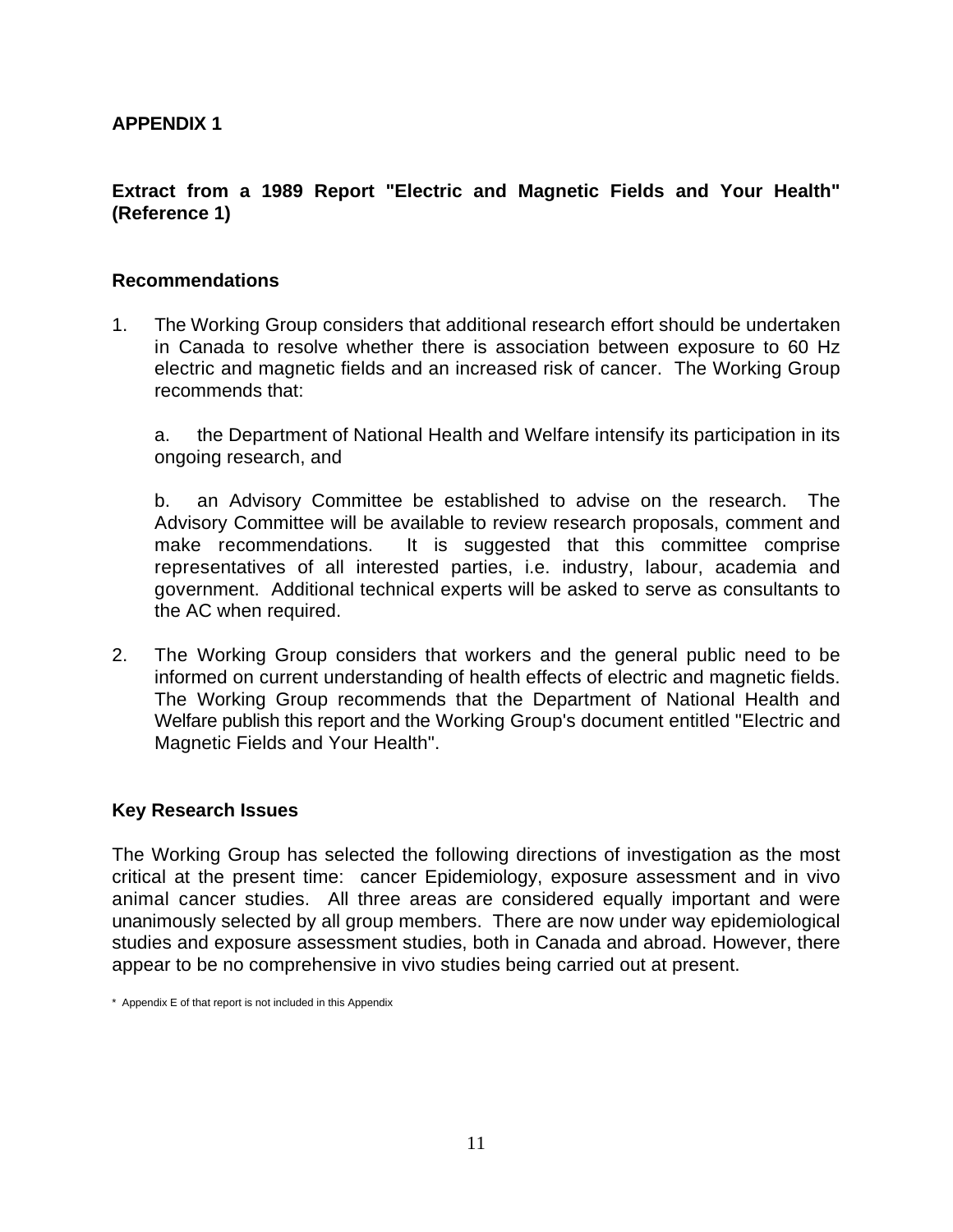# **APPENDIX 1**

# **Extract from a 1989 Report "Electric and Magnetic Fields and Your Health" (Reference 1)**

#### **Recommendations**

1. The Working Group considers that additional research effort should be undertaken in Canada to resolve whether there is association between exposure to 60 Hz electric and magnetic fields and an increased risk of cancer. The Working Group recommends that:

a. the Department of National Health and Welfare intensify its participation in its ongoing research, and

b. an Advisory Committee be established to advise on the research. The Advisory Committee will be available to review research proposals, comment and make recommendations. It is suggested that this committee comprise representatives of all interested parties, i.e. industry, labour, academia and government. Additional technical experts will be asked to serve as consultants to the AC when required.

2. The Working Group considers that workers and the general public need to be informed on current understanding of health effects of electric and magnetic fields. The Working Group recommends that the Department of National Health and Welfare publish this report and the Working Group's document entitled "Electric and Magnetic Fields and Your Health".

#### **Key Research Issues**

The Working Group has selected the following directions of investigation as the most critical at the present time: cancer Epidemiology, exposure assessment and in vivo animal cancer studies. All three areas are considered equally important and were unanimously selected by all group members. There are now under way epidemiological studies and exposure assessment studies, both in Canada and abroad. However, there appear to be no comprehensive in vivo studies being carried out at present.

<sup>\*</sup> Appendix E of that report is not included in this Appendix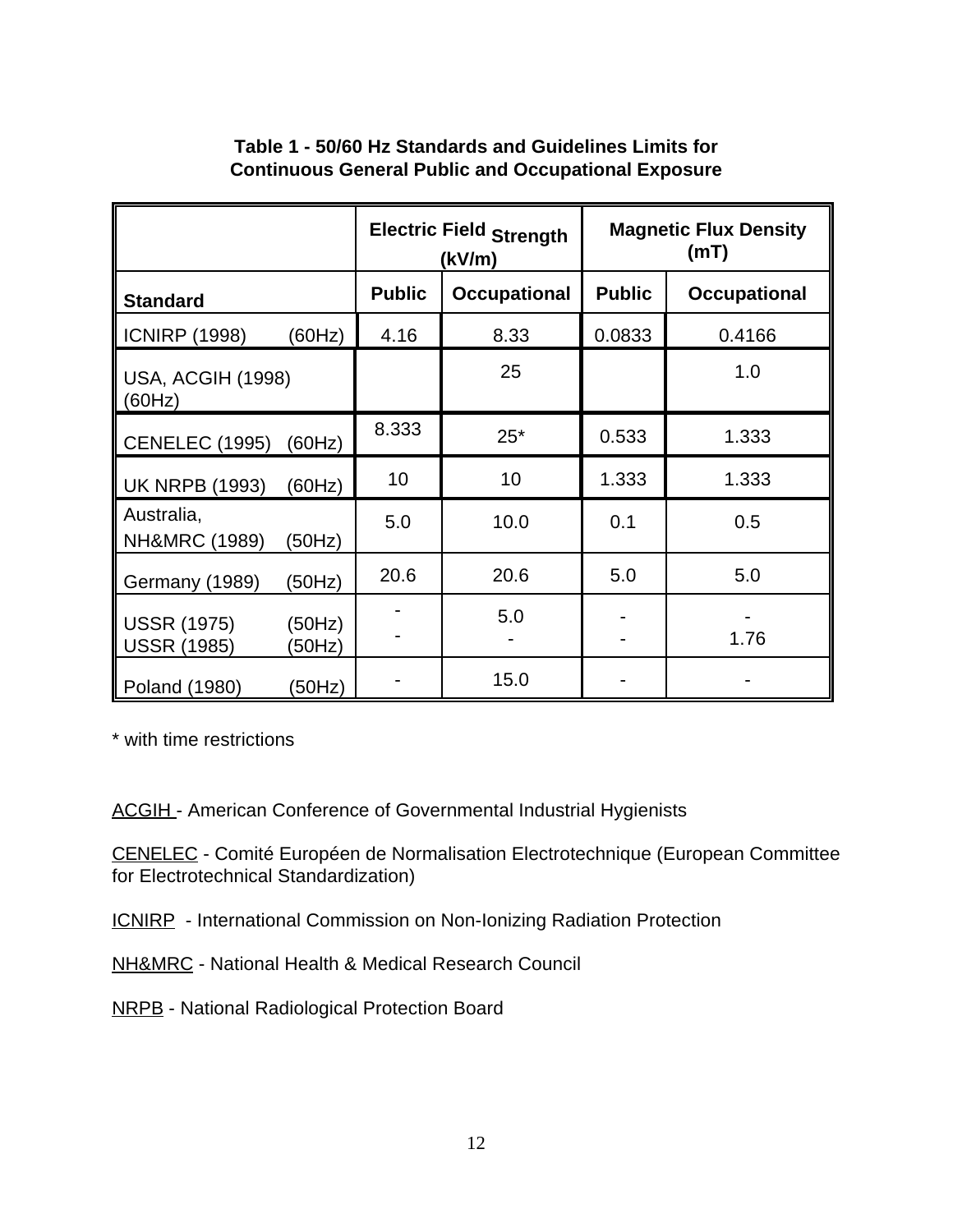|                                                              | <b>Electric Field Strength</b><br>(kV/m) |                     | <b>Magnetic Flux Density</b><br>(mT) |                     |
|--------------------------------------------------------------|------------------------------------------|---------------------|--------------------------------------|---------------------|
| <b>Standard</b>                                              | <b>Public</b>                            | <b>Occupational</b> | <b>Public</b>                        | <b>Occupational</b> |
| <b>ICNIRP (1998)</b><br>(60Hz)                               | 4.16                                     | 8.33                | 0.0833                               | 0.4166              |
| <b>USA, ACGIH (1998)</b><br>(60Hz)                           |                                          | 25                  |                                      | 1.0                 |
| <b>CENELEC (1995)</b><br>(60Hz)                              | 8.333                                    | $25*$               | 0.533                                | 1.333               |
| <b>UK NRPB (1993)</b><br>(60Hz)                              | 10                                       | 10                  | 1.333                                | 1.333               |
| Australia,<br>NH&MRC (1989)<br>(50Hz)                        | 5.0                                      | 10.0                | 0.1                                  | 0.5                 |
| Germany (1989)<br>(50Hz)                                     | 20.6                                     | 20.6                | 5.0                                  | 5.0                 |
| <b>USSR (1975)</b><br>(50Hz)<br><b>USSR (1985)</b><br>(50Hz) |                                          | 5.0                 |                                      | 1.76                |
| (50Hz)<br>Poland (1980)                                      |                                          | 15.0                |                                      |                     |

# **Table 1 - 50/60 Hz Standards and Guidelines Limits for Continuous General Public and Occupational Exposure**

\* with time restrictions

ACGIH - American Conference of Governmental Industrial Hygienists

CENELEC - Comité Européen de Normalisation Electrotechnique (European Committee for Electrotechnical Standardization)

ICNIRP - International Commission on Non-Ionizing Radiation Protection

NH&MRC - National Health & Medical Research Council

NRPB - National Radiological Protection Board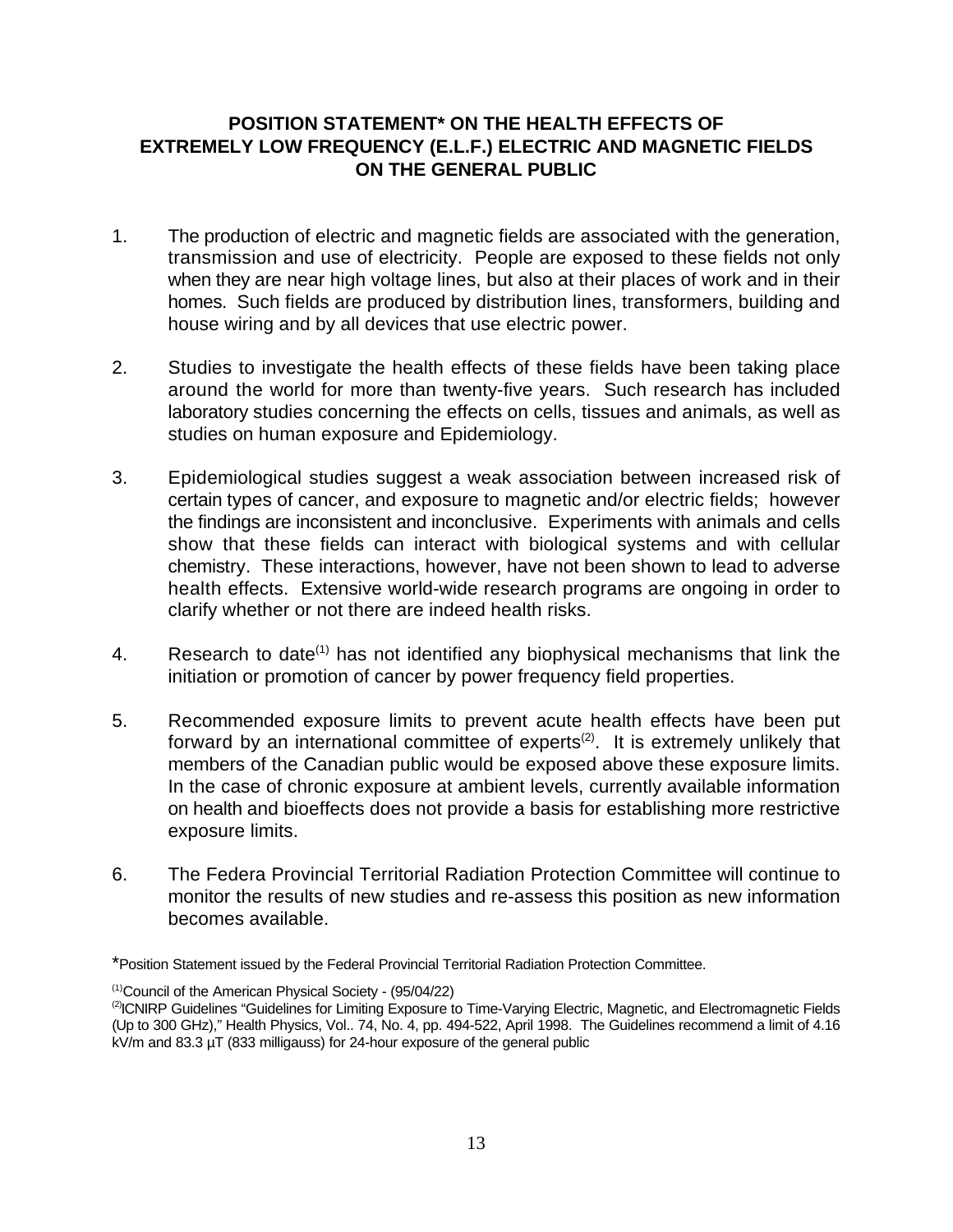# **POSITION STATEMENT\* ON THE HEALTH EFFECTS OF EXTREMELY LOW FREQUENCY (E.L.F.) ELECTRIC AND MAGNETIC FIELDS ON THE GENERAL PUBLIC**

- 1. The production of electric and magnetic fields are associated with the generation, transmission and use of electricity. People are exposed to these fields not only when they are near high voltage lines, but also at their places of work and in their homes. Such fields are produced by distribution lines, transformers, building and house wiring and by all devices that use electric power.
- 2. Studies to investigate the health effects of these fields have been taking place around the world for more than twenty-five years. Such research has included laboratory studies concerning the effects on cells, tissues and animals, as well as studies on human exposure and Epidemiology.
- 3. Epidemiological studies suggest a weak association between increased risk of certain types of cancer, and exposure to magnetic and/or electric fields; however the findings are inconsistent and inconclusive. Experiments with animals and cells show that these fields can interact with biological systems and with cellular chemistry. These interactions, however, have not been shown to lead to adverse health effects. Extensive world-wide research programs are ongoing in order to clarify whether or not there are indeed health risks.
- 4. Research to date<sup>(1)</sup> has not identified any biophysical mechanisms that link the initiation or promotion of cancer by power frequency field properties.
- 5. Recommended exposure limits to prevent acute health effects have been put forward by an international committee of experts<sup>(2)</sup>. It is extremely unlikely that members of the Canadian public would be exposed above these exposure limits. In the case of chronic exposure at ambient levels, currently available information on health and bioeffects does not provide a basis for establishing more restrictive exposure limits.
- 6. The Federa Provincial Territorial Radiation Protection Committee will continue to monitor the results of new studies and re-assess this position as new information becomes available.

<sup>\*</sup>Position Statement issued by the Federal Provincial Territorial Radiation Protection Committee.

 $(1)$ Council of the American Physical Society - (95/04/22)

<sup>&</sup>lt;sup>(2)</sup>ICNIRP Guidelines "Guidelines for Limiting Exposure to Time-Varying Electric, Magnetic, and Electromagnetic Fields (Up to 300 GHz)," Health Physics, Vol.. 74, No. 4, pp. 494-522, April 1998. The Guidelines recommend a limit of 4.16 kV/m and 83.3 µT (833 milligauss) for 24-hour exposure of the general public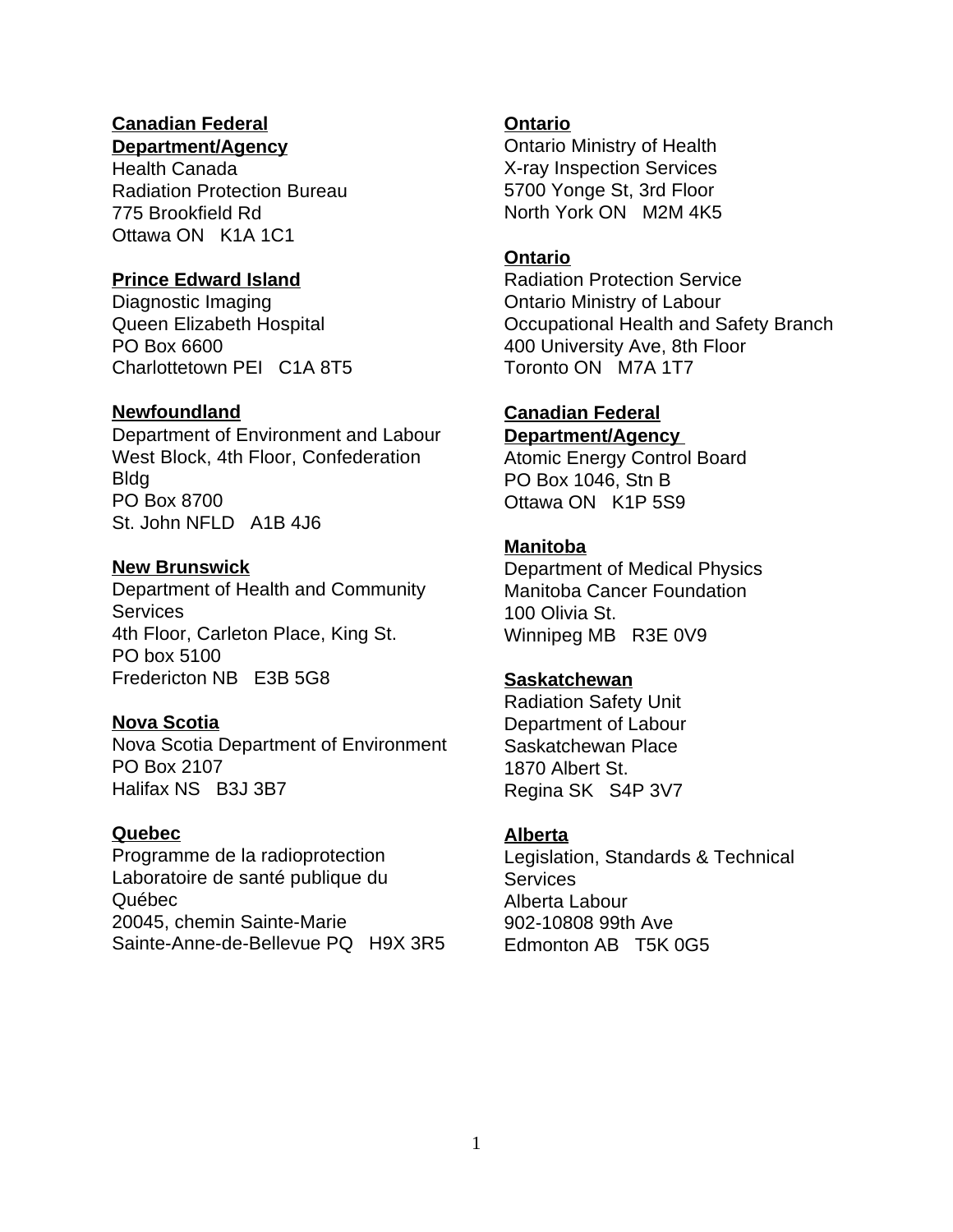# **Canadian Federal Ontario**

**Department/Agency**

Health Canada Radiation Protection Bureau 775 Brookfield Rd Ottawa ON K1A 1C1

# **Prince Edward Island**

Diagnostic Imaging **Diagnostic Imaging Contario Ministry of Labour** Charlottetown PEI C1A 8T5 Toronto ON M7A 1T7

# **Newfoundland**

Department of Environment and Labour West Block, 4th Floor, Confederation Bldg PO Box 8700 St. John NFLD A1B 4J6

# **New Brunswick**

Department of Health and Community **Services** 4th Floor, Carleton Place, King St. PO box 5100 Fredericton NB E3B 5G8

# **Nova Scotia**

Nova Scotia Department of Environment PO Box 2107 Halifax NS B3J 3B7

# **Quebec**

Programme de la radioprotection Laboratoire de santé publique du Québec 20045, chemin Sainte-Marie Sainte-Anne-de-Bellevue PQ H9X 3R5

Ontario Ministry of Health X-ray Inspection Services 5700 Yonge St, 3rd Floor North York ON M2M 4K5

# **Ontario**

Queen Elizabeth Hospital **Communist Constructs** Occupational Health and Safety Branch PO Box 6600 **400 University Ave, 8th Floor** Radiation Protection Service

#### **Canadian Federal Department/Agency**

Atomic Energy Control Board PO Box 1046, Stn B Ottawa ON K1P 5S9

# **Manitoba**

Department of Medical Physics Manitoba Cancer Foundation 100 Olivia St. Winnipeg MB R3E 0V9

# **Saskatchewan**

Radiation Safety Unit Department of Labour Saskatchewan Place 1870 Albert St. Regina SK S4P 3V7

# **Alberta**

Legislation, Standards & Technical **Services** Alberta Labour 902-10808 99th Ave Edmonton AB T5K 0G5